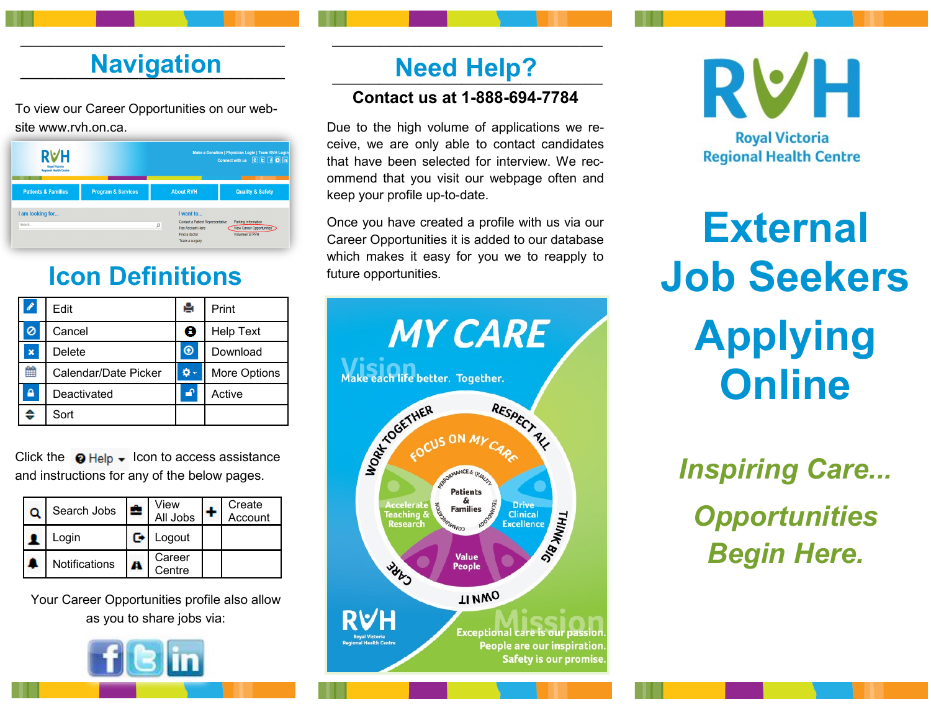# **nd Navigation Need Help?**

**\_\_\_\_\_\_\_\_\_\_\_\_\_\_\_\_\_\_\_\_\_\_\_\_\_\_\_\_\_\_\_\_\_\_\_\_\_\_\_\_\_\_\_\_\_**

To view our Career Opportunities on our website www.rvh.on.ca.

| <b>RVH</b><br><b>Royal Victoria</b><br><b>Regional Health Centre</b> |                               | Make a Donation   Physician Login   Team RVH Login<br>Connect with us <b>e E F B in</b>                    |                                                                             |  |  |
|----------------------------------------------------------------------|-------------------------------|------------------------------------------------------------------------------------------------------------|-----------------------------------------------------------------------------|--|--|
| <b>Patients &amp; Families</b>                                       | <b>Program &amp; Services</b> | <b>About RVH</b>                                                                                           | <b>Quality &amp; Safety</b>                                                 |  |  |
| I am looking for<br>Search                                           |                               | I want to<br>Contact a Patient Representative<br>ρ<br>Pay Account Here<br>Find a doctor<br>Track a surgery | Parking Information<br>View Career Opportunities<br><b>Volunteer at RVH</b> |  |  |

## **Icon Definitions**

| I | Edit                 | е | Print            |
|---|----------------------|---|------------------|
| Ø | Cancel               | ❸ | <b>Help Text</b> |
| × | Delete               | ⊛ | Download         |
| m | Calendar/Date Picker |   | More Options     |
| ≙ | Deactivated          | Æ | Active           |
| ₿ | Sort                 |   |                  |

Click the  $\bigcirc$  Help  $\bigstar$  Icon to access assistance and instructions for any of the below pages.

| Search Jobs          | <b>CO</b> | View<br>All Jobs | Create<br>Account |
|----------------------|-----------|------------------|-------------------|
| Login                |           | Logout           |                   |
| <b>Notifications</b> |           | Career<br>Centre |                   |

Your Career Opportunities profile also allow as you to share jobs via:



## **Need Help?**

**\_\_\_\_\_\_\_\_\_\_\_\_\_\_\_\_\_\_\_\_\_\_\_\_\_\_\_\_\_\_\_\_\_\_\_\_\_\_\_\_\_\_\_\_\_\_**

### **Contact us at 1-888-694-7784**

Due to the high volume of applications we receive, we are only able to contact candidates that have been selected for interview. We recommend that you visit our webpage often and keep your profile up-to-date.

Once you have created a profile with us via our Career Opportunities it is added to our database which makes it easy for you we to reapply to future opportunities.



RVH **Royal Victoria Regional Health Centre** 

**External Job Seekers Applying Online**

*Inspiring Care... Opportunities Begin Here.*